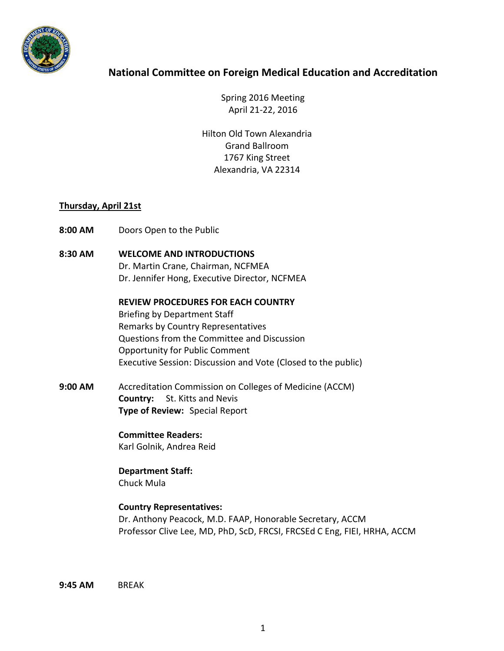

## **National Committee on Foreign Medical Education and Accreditation**

Spring 2016 Meeting April 21-22, 2016

Hilton Old Town Alexandria Grand Ballroom 1767 King Street Alexandria, VA 22314

## **Thursday, April 21st**

- **8:00 AM** Doors Open to the Public
- **8:30 AM WELCOME AND INTRODUCTIONS**  Dr. Martin Crane, Chairman, NCFMEA Dr. Jennifer Hong, Executive Director, NCFMEA

**REVIEW PROCEDURES FOR EACH COUNTRY**  Briefing by Department Staff

Remarks by Country Representatives Questions from the Committee and Discussion Opportunity for Public Comment Executive Session: Discussion and Vote (Closed to the public)

**9:00 AM** Accreditation Commission on Colleges of Medicine (ACCM) **Country:** St. Kitts and Nevis **Type of Review:** Special Report

> **Committee Readers:** Karl Golnik, Andrea Reid

**Department Staff:**  Chuck Mula

## **Country Representatives:**

Dr. Anthony Peacock, M.D. FAAP, Honorable Secretary, ACCM Professor Clive Lee, MD, PhD, ScD, FRCSI, FRCSEd C Eng, FIEI, HRHA, ACCM

**9:45 AM** BREAK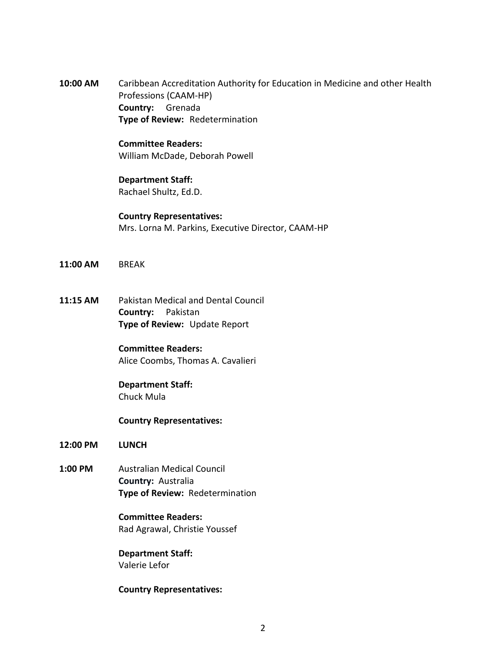**10:00 AM** Caribbean Accreditation Authority for Education in Medicine and other Health Professions (CAAM-HP) **Country:** Grenada **Type of Review:** Redetermination

## **Committee Readers:**  William McDade, Deborah Powell

# **Department Staff:**

Rachael Shultz, Ed.D.

**Country Representatives:**  Mrs. Lorna M. Parkins, Executive Director, CAAM-HP

- **11:00 AM** BREAK
- **11:15 AM** Pakistan Medical and Dental Council **Country:** Pakistan **Type of Review:** Update Report

## **Committee Readers:**

Alice Coombs, Thomas A. Cavalieri

### **Department Staff:**  Chuck Mula

**Country Representatives:** 

- **12:00 PM LUNCH**
- **1:00 PM** Australian Medical Council **Country:** Australia **Type of Review:** Redetermination

**Committee Readers:**  Rad Agrawal, Christie Youssef

**Department Staff:**  Valerie Lefor

## **Country Representatives:**